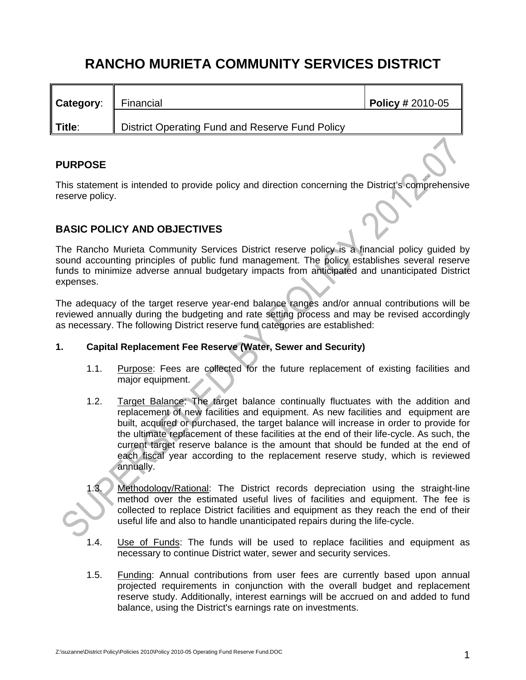# **RANCHO MURIETA COMMUNITY SERVICES DISTRICT**

| Category: | Financial                                       | $\sqrt{P^{0}P^{0}}$ Policy # 2010-05 |
|-----------|-------------------------------------------------|--------------------------------------|
| Title:    | District Operating Fund and Reserve Fund Policy |                                      |

# **PURPOSE**

This statement is intended to provide policy and direction concerning the District's comprehensive reserve policy.

# **BASIC POLICY AND OBJECTIVES**

The Rancho Murieta Community Services District reserve policy is a financial policy guided by sound accounting principles of public fund management. The policy establishes several reserve funds to minimize adverse annual budgetary impacts from anticipated and unanticipated District expenses.

The adequacy of the target reserve year-end balance ranges and/or annual contributions will be reviewed annually during the budgeting and rate setting process and may be revised accordingly as necessary. The following District reserve fund categories are established:

# **1. Capital Replacement Fee Reserve (Water, Sewer and Security)**

- 1.1. Purpose: Fees are collected for the future replacement of existing facilities and major equipment.
- 1.2. Target Balance: The target balance continually fluctuates with the addition and replacement of new facilities and equipment. As new facilities and equipment are built, acquired or purchased, the target balance will increase in order to provide for the ultimate replacement of these facilities at the end of their life-cycle. As such, the current target reserve balance is the amount that should be funded at the end of each fiscal year according to the replacement reserve study, which is reviewed annually.
- Methodology/Rational: The District records depreciation using the straight-line method over the estimated useful lives of facilities and equipment. The fee is collected to replace District facilities and equipment as they reach the end of their useful life and also to handle unanticipated repairs during the life-cycle.
- 1.4. Use of Funds: The funds will be used to replace facilities and equipment as necessary to continue District water, sewer and security services.
- 1.5. Funding: Annual contributions from user fees are currently based upon annual projected requirements in conjunction with the overall budget and replacement reserve study. Additionally, interest earnings will be accrued on and added to fund balance, using the District's earnings rate on investments.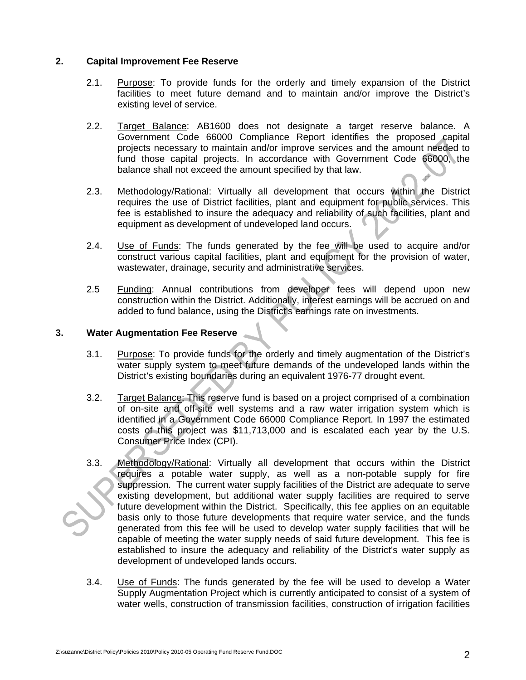## **2. Capital Improvement Fee Reserve**

- 2.1. Purpose: To provide funds for the orderly and timely expansion of the District facilities to meet future demand and to maintain and/or improve the District's existing level of service.
- 2.2. Target Balance: AB1600 does not designate a target reserve balance. A Government Code 66000 Compliance Report identifies the proposed capital projects necessary to maintain and/or improve services and the amount needed to fund those capital projects. In accordance with Government Code 66000, the balance shall not exceed the amount specified by that law.
- 2.3. Methodology/Rational: Virtually all development that occurs within the District requires the use of District facilities, plant and equipment for public services. This fee is established to insure the adequacy and reliability of such facilities, plant and equipment as development of undeveloped land occurs.
- 2.4. Use of Funds: The funds generated by the fee will be used to acquire and/or construct various capital facilities, plant and equipment for the provision of water, wastewater, drainage, security and administrative services.
- 2.5 Funding: Annual contributions from developer fees will depend upon new construction within the District. Additionally, interest earnings will be accrued on and added to fund balance, using the District's earnings rate on investments.

## **3. Water Augmentation Fee Reserve**

- 3.1. Purpose: To provide funds for the orderly and timely augmentation of the District's water supply system to meet future demands of the undeveloped lands within the District's existing boundaries during an equivalent 1976-77 drought event.
- 3.2. Target Balance: This reserve fund is based on a project comprised of a combination of on-site and off-site well systems and a raw water irrigation system which is identified in a Government Code 66000 Compliance Report. In 1997 the estimated costs of this project was \$11,713,000 and is escalated each year by the U.S. Consumer Price Index (CPI).
- 3.3. Methodology/Rational: Virtually all development that occurs within the District requires a potable water supply, as well as a non-potable supply for fire suppression. The current water supply facilities of the District are adequate to serve existing development, but additional water supply facilities are required to serve future development within the District. Specifically, this fee applies on an equitable basis only to those future developments that require water service, and the funds generated from this fee will be used to develop water supply facilities that will be capable of meeting the water supply needs of said future development. This fee is established to insure the adequacy and reliability of the District's water supply as development of undeveloped lands occurs.
- 3.4. Use of Funds: The funds generated by the fee will be used to develop a Water Supply Augmentation Project which is currently anticipated to consist of a system of water wells, construction of transmission facilities, construction of irrigation facilities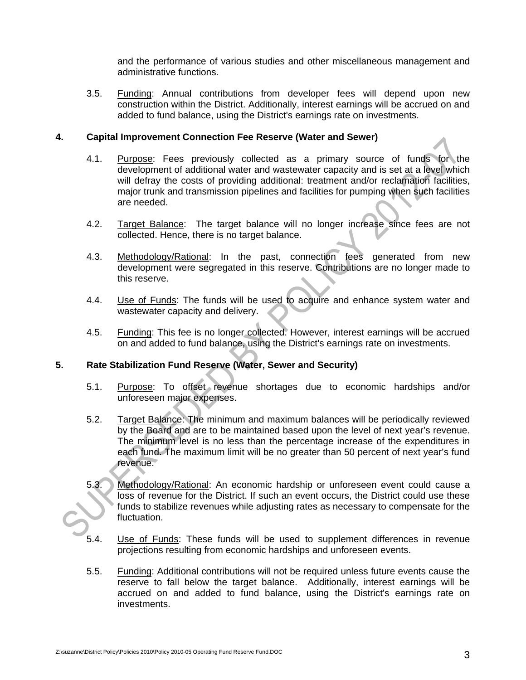and the performance of various studies and other miscellaneous management and administrative functions.

3.5. Funding: Annual contributions from developer fees will depend upon new construction within the District. Additionally, interest earnings will be accrued on and added to fund balance, using the District's earnings rate on investments.

## **4. Capital Improvement Connection Fee Reserve (Water and Sewer)**

- 4.1. Purpose: Fees previously collected as a primary source of funds for the development of additional water and wastewater capacity and is set at a level which will defray the costs of providing additional: treatment and/or reclamation facilities, major trunk and transmission pipelines and facilities for pumping when such facilities are needed.
- 4.2. Target Balance: The target balance will no longer increase since fees are not collected. Hence, there is no target balance.
- 4.3. Methodology/Rational: In the past, connection fees generated from new development were segregated in this reserve. Contributions are no longer made to this reserve.
- 4.4. Use of Funds: The funds will be used to acquire and enhance system water and wastewater capacity and delivery.
- 4.5. Funding: This fee is no longer collected. However, interest earnings will be accrued on and added to fund balance, using the District's earnings rate on investments.

#### **5. Rate Stabilization Fund Reserve (Water, Sewer and Security)**

- 5.1. Purpose: To offset revenue shortages due to economic hardships and/or unforeseen major expenses.
- 5.2. Target Balance: The minimum and maximum balances will be periodically reviewed by the Board and are to be maintained based upon the level of next year's revenue. The minimum level is no less than the percentage increase of the expenditures in each fund. The maximum limit will be no greater than 50 percent of next year's fund revenue.
- 5.3. Methodology/Rational: An economic hardship or unforeseen event could cause a loss of revenue for the District. If such an event occurs, the District could use these funds to stabilize revenues while adjusting rates as necessary to compensate for the fluctuation.
- 5.4. Use of Funds: These funds will be used to supplement differences in revenue projections resulting from economic hardships and unforeseen events.
- 5.5. Funding: Additional contributions will not be required unless future events cause the reserve to fall below the target balance. Additionally, interest earnings will be accrued on and added to fund balance, using the District's earnings rate on investments.